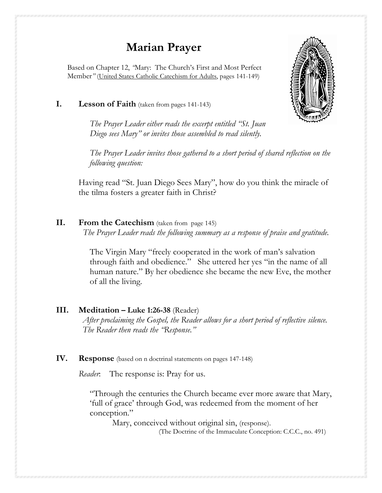# **Marian Prayer**

Based on Chapter 12, *"*Mary: The Church's First and Most Perfect Member*"* (United States Catholic Catechism for Adults, pages 141-149)

#### **I. Lesson of Faith** (taken from pages 141-143)

*The Prayer Leader either reads the excerpt entitled "St. Juan Diego sees Mary" or invites those assembled to read silently.* 

*The Prayer Leader invites those gathered to a short period of shared reflection on the following question:*

Having read "St. Juan Diego Sees Mary", how do you think the miracle of the tilma fosters a greater faith in Christ?

#### **II. From the Catechism** (taken from page 145)

 *The Prayer Leader reads the following summary as a response of praise and gratitude.*

The Virgin Mary "freely cooperated in the work of man's salvation through faith and obedience." She uttered her yes "in the name of all human nature." By her obedience she became the new Eve, the mother of all the living.

#### **III. Meditation – Luke 1:26-38** (Reader)

*After proclaiming the Gospel, the Reader allows for a short period of reflective silence. The Reader then reads the "Response."* 

#### **IV. Response** (based on n doctrinal statements on pages 147-148)

*Reader*: The response is: Pray for us.

"Through the centuries the Church became ever more aware that Mary, 'full of grace' through God, was redeemed from the moment of her conception."

 Mary, conceived without original sin, (response). (The Doctrine of the Immaculate Conception: C.C.C., no. 491)